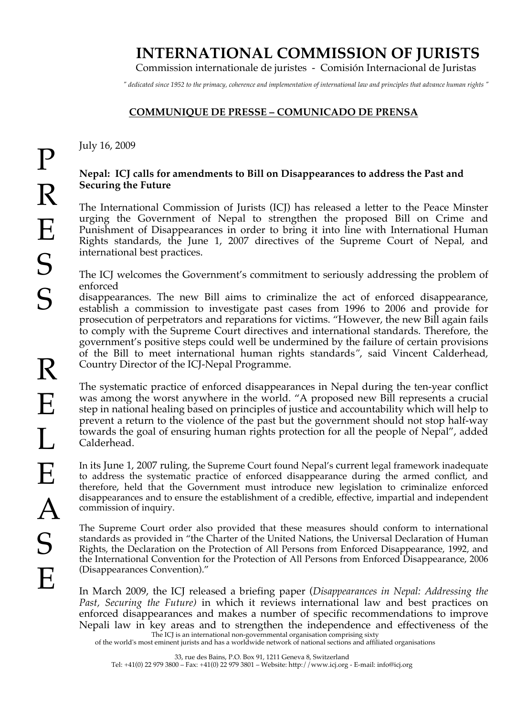## **INTERNATIONAL COMMISSION OF JURISTS**

Commission internationale de juristes - Comisión Internacional de Juristas

*" dedicated since 1952 to the primacy, coherence and implementation of international law and principles that advance human rights "*

## **COMMUNIQUE DE PRESSE – COMUNICADO DE PRENSA**

July 16, 2009

## **Nepal: ICJ calls for amendments to Bill on Disappearances to address the Past and Securing the Future**

The International Commission of Jurists (ICJ) has released a letter to the Peace Minster urging the Government of Nepal to strengthen the proposed Bill on Crime and Punishment of Disappearances in order to bring it into line with International Human Rights standards, the June 1, 2007 directives of the Supreme Court of Nepal, and international best practices.

The ICJ welcomes the Government's commitment to seriously addressing the problem of enforced

disappearances. The new Bill aims to criminalize the act of enforced disappearance, establish a commission to investigate past cases from 1996 to 2006 and provide for prosecution of perpetrators and reparations for victims. "However, the new Bill again fails to comply with the Supreme Court directives and international standards. Therefore, the government's positive steps could well be undermined by the failure of certain provisions of the Bill to meet international human rights standards*"*, said Vincent Calderhead, Country Director of the ICJ-Nepal Programme.

The systematic practice of enforced disappearances in Nepal during the ten-year conflict was among the worst anywhere in the world. "A proposed new Bill represents a crucial step in national healing based on principles of justice and accountability which will help to prevent a return to the violence of the past but the government should not stop half-way towards the goal of ensuring human rights protection for all the people of Nepal", added Calderhead.

In its June 1, 2007 ruling, the Supreme Court found Nepal's current legal framework inadequate to address the systematic practice of enforced disappearance during the armed conflict, and therefore, held that the Government must introduce new legislation to criminalize enforced disappearances and to ensure the establishment of a credible, effective, impartial and independent commission of inquiry.

The Supreme Court order also provided that these measures should conform to international standards as provided in "the Charter of the United Nations, the Universal Declaration of Human Rights, the Declaration on the Protection of All Persons from Enforced Disappearance, 1992, and the International Convention for the Protection of All Persons from Enforced Disappearance, 2006 (Disappearances Convention)."

The ICJ is an international non-governmental organisation comprising sixty In March 2009, the ICJ released a briefing paper (*Disappearances in Nepal: Addressing the Past, Securing the Future)* in which it reviews international law and best practices on enforced disappearances and makes a number of specific recommendations to improve Nepali law in key areas and to strengthen the independence and effectiveness of the

of the world's most eminent jurists and has a worldwide network of national sections and affiliated organisations

33, rue des Bains, P.O. Box 91, 1211 Geneva 8, Switzerland

Tel: +41(0) 22 979 3800 – Fax: +41(0) 22 979 3801 – Website: http://www.icj.org - E-mail: info@icj.org